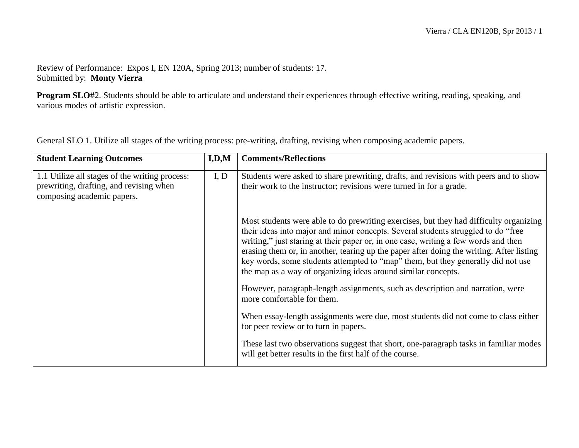## Review of Performance: Expos I, EN 120A, Spring 2013; number of students: 17. Submitted by: **Monty Vierra**

**Program SLO#**2. Students should be able to articulate and understand their experiences through effective writing, reading, speaking, and various modes of artistic expression.

General SLO 1. Utilize all stages of the writing process: pre-writing, drafting, revising when composing academic papers.

| <b>Student Learning Outcomes</b>                                                                                        | I, D, M | <b>Comments/Reflections</b>                                                                                                                                                                                                                                                                                                                                                                                                                                                                                         |
|-------------------------------------------------------------------------------------------------------------------------|---------|---------------------------------------------------------------------------------------------------------------------------------------------------------------------------------------------------------------------------------------------------------------------------------------------------------------------------------------------------------------------------------------------------------------------------------------------------------------------------------------------------------------------|
| 1.1 Utilize all stages of the writing process:<br>prewriting, drafting, and revising when<br>composing academic papers. | I, D    | Students were asked to share prewriting, drafts, and revisions with peers and to show<br>their work to the instructor; revisions were turned in for a grade.                                                                                                                                                                                                                                                                                                                                                        |
|                                                                                                                         |         | Most students were able to do prewriting exercises, but they had difficulty organizing<br>their ideas into major and minor concepts. Several students struggled to do "free<br>writing," just staring at their paper or, in one case, writing a few words and then<br>erasing them or, in another, tearing up the paper after doing the writing. After listing<br>key words, some students attempted to "map" them, but they generally did not use<br>the map as a way of organizing ideas around similar concepts. |
|                                                                                                                         |         | However, paragraph-length assignments, such as description and narration, were<br>more comfortable for them.                                                                                                                                                                                                                                                                                                                                                                                                        |
|                                                                                                                         |         | When essay-length assignments were due, most students did not come to class either<br>for peer review or to turn in papers.                                                                                                                                                                                                                                                                                                                                                                                         |
|                                                                                                                         |         | These last two observations suggest that short, one-paragraph tasks in familiar modes<br>will get better results in the first half of the course.                                                                                                                                                                                                                                                                                                                                                                   |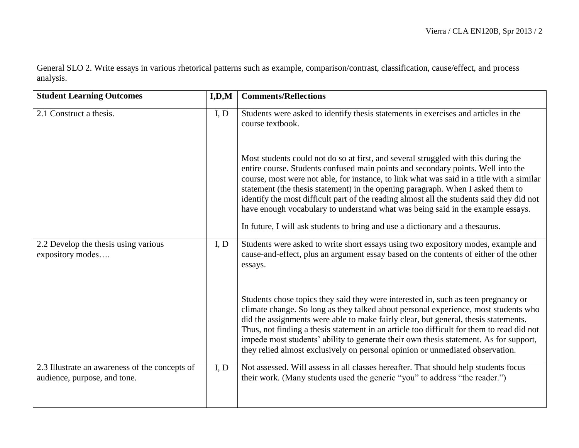General SLO 2. Write essays in various rhetorical patterns such as example, comparison/contrast, classification, cause/effect, and process analysis.

| <b>Student Learning Outcomes</b>                                               | I, D, M | <b>Comments/Reflections</b>                                                                                                                                                                                                                                                                                                                                                                                                                                                                                                                                                                                              |
|--------------------------------------------------------------------------------|---------|--------------------------------------------------------------------------------------------------------------------------------------------------------------------------------------------------------------------------------------------------------------------------------------------------------------------------------------------------------------------------------------------------------------------------------------------------------------------------------------------------------------------------------------------------------------------------------------------------------------------------|
| 2.1 Construct a thesis.                                                        | I, D    | Students were asked to identify thesis statements in exercises and articles in the<br>course textbook.                                                                                                                                                                                                                                                                                                                                                                                                                                                                                                                   |
|                                                                                |         | Most students could not do so at first, and several struggled with this during the<br>entire course. Students confused main points and secondary points. Well into the<br>course, most were not able, for instance, to link what was said in a title with a similar<br>statement (the thesis statement) in the opening paragraph. When I asked them to<br>identify the most difficult part of the reading almost all the students said they did not<br>have enough vocabulary to understand what was being said in the example essays.<br>In future, I will ask students to bring and use a dictionary and a the saurus. |
| 2.2 Develop the thesis using various<br>expository modes                       | I, D    | Students were asked to write short essays using two expository modes, example and<br>cause-and-effect, plus an argument essay based on the contents of either of the other<br>essays.                                                                                                                                                                                                                                                                                                                                                                                                                                    |
|                                                                                |         | Students chose topics they said they were interested in, such as teen pregnancy or<br>climate change. So long as they talked about personal experience, most students who<br>did the assignments were able to make fairly clear, but general, thesis statements.<br>Thus, not finding a thesis statement in an article too difficult for them to read did not<br>impede most students' ability to generate their own thesis statement. As for support,<br>they relied almost exclusively on personal opinion or unmediated observation.                                                                                  |
| 2.3 Illustrate an awareness of the concepts of<br>audience, purpose, and tone. | I, D    | Not assessed. Will assess in all classes hereafter. That should help students focus<br>their work. (Many students used the generic "you" to address "the reader.")                                                                                                                                                                                                                                                                                                                                                                                                                                                       |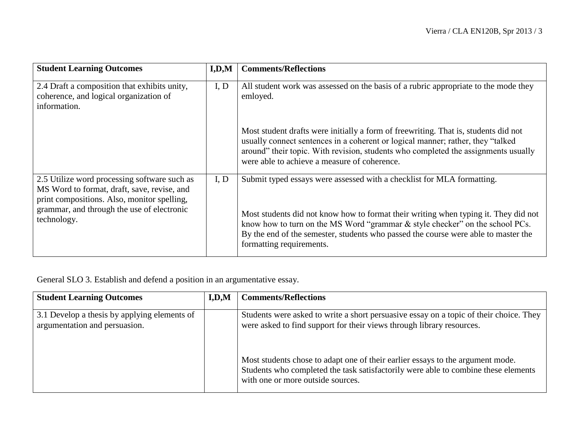| <b>Student Learning Outcomes</b>                                                                                                                                                                        | I, D, M | <b>Comments/Reflections</b>                                                                                                                                                                                                                                                                                                                                     |
|---------------------------------------------------------------------------------------------------------------------------------------------------------------------------------------------------------|---------|-----------------------------------------------------------------------------------------------------------------------------------------------------------------------------------------------------------------------------------------------------------------------------------------------------------------------------------------------------------------|
| 2.4 Draft a composition that exhibits unity,<br>coherence, and logical organization of<br>information.                                                                                                  | I, D    | All student work was assessed on the basis of a rubric appropriate to the mode they<br>emloyed.                                                                                                                                                                                                                                                                 |
|                                                                                                                                                                                                         |         | Most student drafts were initially a form of freewriting. That is, students did not<br>usually connect sentences in a coherent or logical manner; rather, they "talked"<br>around" their topic. With revision, students who completed the assignments usually<br>were able to achieve a measure of coherence.                                                   |
| 2.5 Utilize word processing software such as<br>MS Word to format, draft, save, revise, and<br>print compositions. Also, monitor spelling,<br>grammar, and through the use of electronic<br>technology. | I, D    | Submit typed essays were assessed with a checklist for MLA formatting.<br>Most students did not know how to format their writing when typing it. They did not<br>know how to turn on the MS Word "grammar & style checker" on the school PCs.<br>By the end of the semester, students who passed the course were able to master the<br>formatting requirements. |

General SLO 3. Establish and defend a position in an argumentative essay.

| <b>Student Learning Outcomes</b>                                              | I.D.M | <b>Comments/Reflections</b>                                                                                                                                                                               |
|-------------------------------------------------------------------------------|-------|-----------------------------------------------------------------------------------------------------------------------------------------------------------------------------------------------------------|
| 3.1 Develop a thesis by applying elements of<br>argumentation and persuasion. |       | Students were asked to write a short persuasive essay on a topic of their choice. They<br>were asked to find support for their views through library resources.                                           |
|                                                                               |       | Most students chose to adapt one of their earlier essays to the argument mode.<br>Students who completed the task satisfactorily were able to combine these elements<br>with one or more outside sources. |